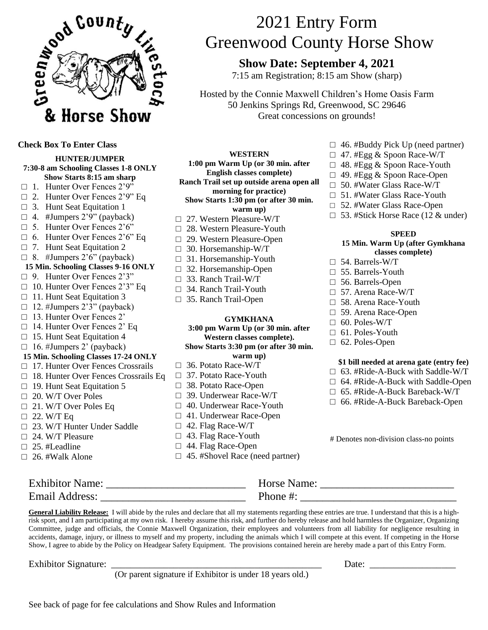

**Check Box To Enter Class**

**HUNTER/JUMPER 7:30-8 am Schooling Classes 1-8 ONLY Show Starts 8:15 am sharp**  $\Box$  1. Hunter Over Fences 2'9"  $\Box$  2. Hunter Over Fences 2'9" Eq  $\Box$  3. Hunt Seat Equitation 1  $\Box$  4. #Jumpers 2'9" (payback)  $\Box$  5. Hunter Over Fences 2'6"  $\Box$  6. Hunter Over Fences 2'6" Eq.  $\Box$  7. Hunt Seat Equitation 2  $\Box$  8. #Jumpers 2'6" (payback) **15 Min. Schooling Classes 9-16 ONLY** □ 9. Hunter Over Fences 2'3" □ 10. Hunter Over Fences 2'3" Eq □ 11. Hunt Seat Equitation 3  $\Box$  12. #Jumpers 2'3" (payback) □ 13. Hunter Over Fences 2' □ 14. Hunter Over Fences 2' Eq □ 15. Hunt Seat Equitation 4  $\Box$  16. #Jumpers 2' (payback) **15 Min. Schooling Classes 17-24 ONLY** □ 17. Hunter Over Fences Crossrails □ 18. Hunter Over Fences Crossrails Eq  $\Box$  19. Hunt Seat Equitation 5 □ 20. W/T Over Poles □ 21. W/T Over Poles Eq  $\Box$  22. W/T Eq □ 23. W/T Hunter Under Saddle  $\Box$  24. W/T Pleasure □ 25. #Leadline  $\Box$  26. #Walk Alone

# 2021 Entry Form Greenwood County Horse Show

## **Show Date: September 4, 2021**

7:15 am Registration; 8:15 am Show (sharp)

Hosted by the Connie Maxwell Children's Home Oasis Farm 50 Jenkins Springs Rd, Greenwood, SC 29646 Great concessions on grounds!

#### **WESTERN**

**1:00 pm Warm Up (or 30 min. after** 

**English classes complete) Ranch Trail set up outside arena open all** 

**morning for practice) Show Starts 1:30 pm (or after 30 min. warm up)**

- □ 27. Western Pleasure-W/T □ 28. Western Pleasure-Youth
- □ 29. Western Pleasure-Open
- □ 30. Horsemanship-W/T
- 
- $\Box$  31. Horsemanship-Youth
- $\Box$  32. Horsemanship-Open
- □ 33. Ranch Trail-W/T
- □ 34. Ranch Trail-Youth
- □ 35. Ranch Trail-Open

#### **GYMKHANA**

#### **3:00 pm Warm Up (or 30 min. after Western classes complete). Show Starts 3:30 pm (or after 30 min. warm up)**

- $\Box$  36. Potato Race-W/T
- □ 37. Potato Race-Youth
- □ 38. Potato Race-Open
- □ 39. Underwear Race-W/T
- $\Box$  40. Underwear Race-Youth
- □ 41. Underwear Race-Open
- $\Box$  42. Flag Race-W/T
- □ 43. Flag Race-Youth
- □ 44. Flag Race-Open
- □ 45. #Shovel Race (need partner)
- $\Box$  46. #Buddy Pick Up (need partner)
- $\Box$  47. #Egg & Spoon Race-W/T
- $\Box$  48. #Egg & Spoon Race-Youth
- □ 49. #Egg & Spoon Race-Open
- □ 50. #Water Glass Race-W/T
- □ 51. #Water Glass Race-Youth
- □ 52. #Water Glass Race-Open
- $\Box$  53. #Stick Horse Race (12 & under)

#### **SPEED**

#### **15 Min. Warm Up (after Gymkhana classes complete)**

- □ 54. Barrels-W/T
- □ 55. Barrels-Youth
- □ 56. Barrels-Open
- □ 57. Arena Race-W/T
- □ 58. Arena Race-Youth
- □ 59. Arena Race-Open
- $\Box$  60. Poles-W/T
- □ 61. Poles-Youth
- $\Box$  62. Poles-Open

#### **\$1 bill needed at arena gate (entry fee)**

- $\Box$  63. #Ride-A-Buck with Saddle-W/T
- $\Box$  64. #Ride-A-Buck with Saddle-Open
- □ 65. #Ride-A-Buck Bareback-W/T
- □ 66. #Ride-A-Buck Bareback-Open

# Denotes non-division class-no points

| <b>Exhibitor Name:</b> | Horse Name: |
|------------------------|-------------|
| Email Address:         | Phone $\#$  |

**General Liability Release:** I will abide by the rules and declare that all my statements regarding these entries are true. I understand that this is a highrisk sport, and I am participating at my own risk. I hereby assume this risk, and further do hereby release and hold harmless the Organizer, Organizing Committee, judge and officials, the Connie Maxwell Organization, their employees and volunteers from all liability for negligence resulting in accidents, damage, injury, or illness to myself and my property, including the animals which I will compete at this event. If competing in the Horse Show, I agree to abide by the Policy on Headgear Safety Equipment. The provisions contained herein are hereby made a part of this Entry Form.

Exhibitor Signature:  $\frac{1}{\sqrt{2\pi}}$  Date:  $\frac{1}{\sqrt{2\pi}}$  Date:

(Or parent signature if Exhibitor is under 18 years old.)